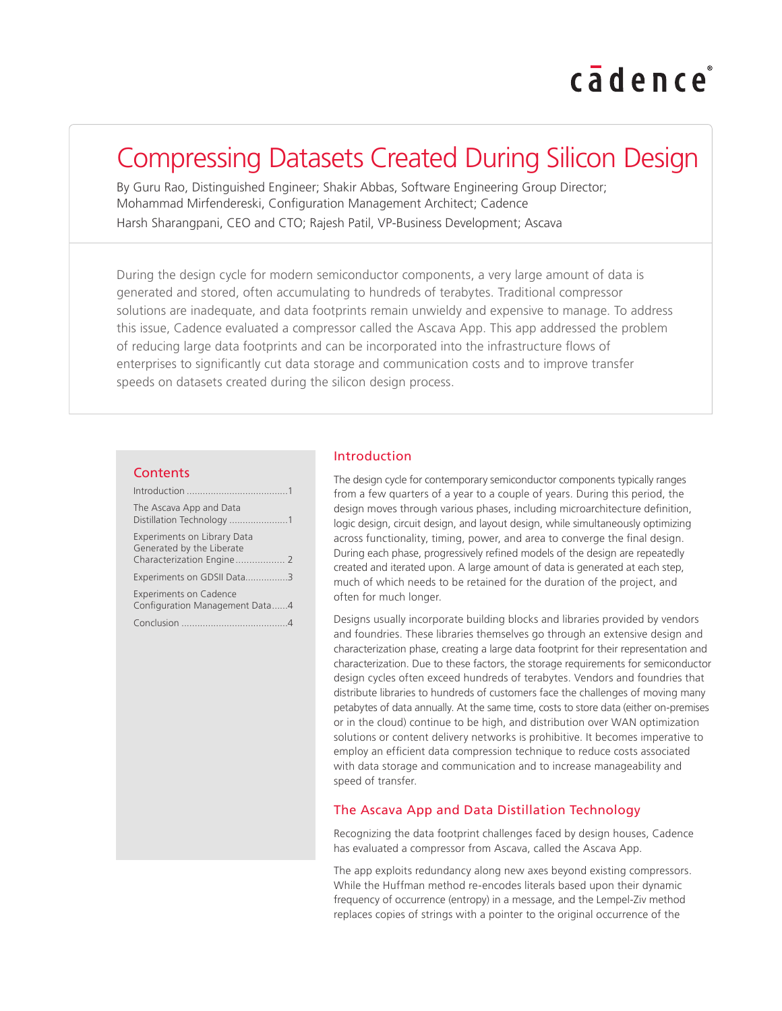# cadence

### Compressing Datasets Created During Silicon Design

By Guru Rao, Distinguished Engineer; Shakir Abbas, Software Engineering Group Director; Mohammad Mirfendereski, Configuration Management Architect; Cadence Harsh Sharangpani, CEO and CTO; Rajesh Patil, VP-Business Development; Ascava

During the design cycle for modern semiconductor components, a very large amount of data is generated and stored, often accumulating to hundreds of terabytes. Traditional compressor solutions are inadequate, and data footprints remain unwieldy and expensive to manage. To address this issue, Cadence evaluated a compressor called the Ascava App. This app addressed the problem of reducing large data footprints and can be incorporated into the infrastructure flows of enterprises to significantly cut data storage and communication costs and to improve transfer speeds on datasets created during the silicon design process.

#### **Contents**

| The Ascava App and Data<br>Distillation Technology 1            |
|-----------------------------------------------------------------|
| <b>Experiments on Library Data</b><br>Generated by the Liberate |
| Experiments on GDSII Data3                                      |
| <b>Experiments on Cadence</b><br>Configuration Management Data4 |
|                                                                 |

#### Introduction

The design cycle for contemporary semiconductor components typically ranges from a few quarters of a year to a couple of years. During this period, the design moves through various phases, including microarchitecture definition, logic design, circuit design, and layout design, while simultaneously optimizing across functionality, timing, power, and area to converge the final design. During each phase, progressively refined models of the design are repeatedly created and iterated upon. A large amount of data is generated at each step, much of which needs to be retained for the duration of the project, and often for much longer.

Designs usually incorporate building blocks and libraries provided by vendors and foundries. These libraries themselves go through an extensive design and characterization phase, creating a large data footprint for their representation and characterization. Due to these factors, the storage requirements for semiconductor design cycles often exceed hundreds of terabytes. Vendors and foundries that distribute libraries to hundreds of customers face the challenges of moving many petabytes of data annually. At the same time, costs to store data (either on-premises or in the cloud) continue to be high, and distribution over WAN optimization solutions or content delivery networks is prohibitive. It becomes imperative to employ an efficient data compression technique to reduce costs associated with data storage and communication and to increase manageability and speed of transfer.

#### The Ascava App and Data Distillation Technology

Recognizing the data footprint challenges faced by design houses, Cadence has evaluated a compressor from Ascava, called the Ascava App.

The app exploits redundancy along new axes beyond existing compressors. While the Huffman method re-encodes literals based upon their dynamic frequency of occurrence (entropy) in a message, and the Lempel-Ziv method replaces copies of strings with a pointer to the original occurrence of the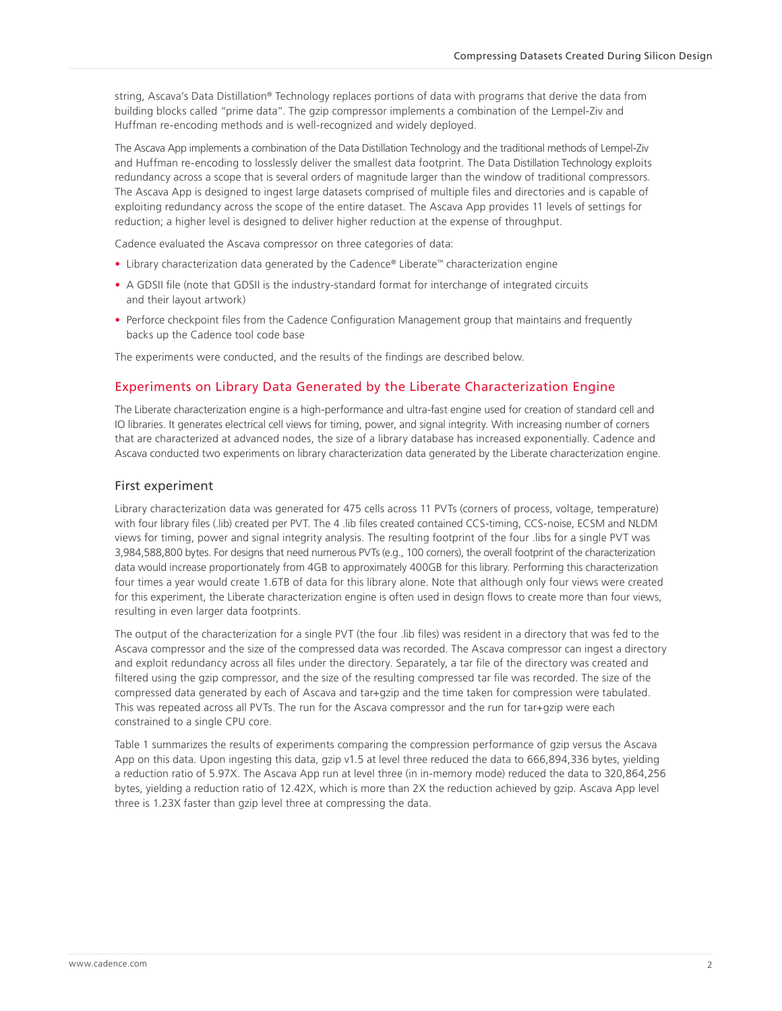<span id="page-1-0"></span>string, Ascava's Data Distillation® Technology replaces portions of data with programs that derive the data from building blocks called "prime data". The gzip compressor implements a combination of the Lempel-Ziv and Huffman re-encoding methods and is well-recognized and widely deployed.

The Ascava App implements a combination of the Data Distillation Technology and the traditional methods of Lempel-Ziv and Huffman re-encoding to losslessly deliver the smallest data footprint. The Data Distillation Technology exploits redundancy across a scope that is several orders of magnitude larger than the window of traditional compressors. The Ascava App is designed to ingest large datasets comprised of multiple files and directories and is capable of exploiting redundancy across the scope of the entire dataset. The Ascava App provides 11 levels of settings for reduction; a higher level is designed to deliver higher reduction at the expense of throughput.

Cadence evaluated the Ascava compressor on three categories of data:

- Library characterization data generated by the Cadence® Liberate™ characterization engine
- A GDSII file (note that GDSII is the industry-standard format for interchange of integrated circuits and their layout artwork)
- Perforce checkpoint files from the Cadence Configuration Management group that maintains and frequently backs up the Cadence tool code base

The experiments were conducted, and the results of the findings are described below.

#### Experiments on Library Data Generated by the Liberate Characterization Engine

The Liberate characterization engine is a high-performance and ultra-fast engine used for creation of standard cell and IO libraries. It generates electrical cell views for timing, power, and signal integrity. With increasing number of corners that are characterized at advanced nodes, the size of a library database has increased exponentially. Cadence and Ascava conducted two experiments on library characterization data generated by the Liberate characterization engine.

#### First experiment

Library characterization data was generated for 475 cells across 11 PVTs (corners of process, voltage, temperature) with four library files (.lib) created per PVT. The 4 .lib files created contained CCS-timing, CCS-noise, ECSM and NLDM views for timing, power and signal integrity analysis. The resulting footprint of the four .libs for a single PVT was 3,984,588,800 bytes. For designs that need numerous PVTs (e.g., 100 corners), the overall footprint of the characterization data would increase proportionately from 4GB to approximately 400GB for this library. Performing this characterization four times a year would create 1.6TB of data for this library alone. Note that although only four views were created for this experiment, the Liberate characterization engine is often used in design flows to create more than four views, resulting in even larger data footprints.

The output of the characterization for a single PVT (the four .lib files) was resident in a directory that was fed to the Ascava compressor and the size of the compressed data was recorded. The Ascava compressor can ingest a directory and exploit redundancy across all files under the directory. Separately, a tar file of the directory was created and filtered using the gzip compressor, and the size of the resulting compressed tar file was recorded. The size of the compressed data generated by each of Ascava and tar+gzip and the time taken for compression were tabulated. This was repeated across all PVTs. The run for the Ascava compressor and the run for tar+gzip were each constrained to a single CPU core.

Table 1 summarizes the results of experiments comparing the compression performance of gzip versus the Ascava App on this data. Upon ingesting this data, gzip v1.5 at level three reduced the data to 666,894,336 bytes, yielding a reduction ratio of 5.97X. The Ascava App run at level three (in in-memory mode) reduced the data to 320,864,256 bytes, yielding a reduction ratio of 12.42X, which is more than 2X the reduction achieved by gzip. Ascava App level three is 1.23X faster than gzip level three at compressing the data.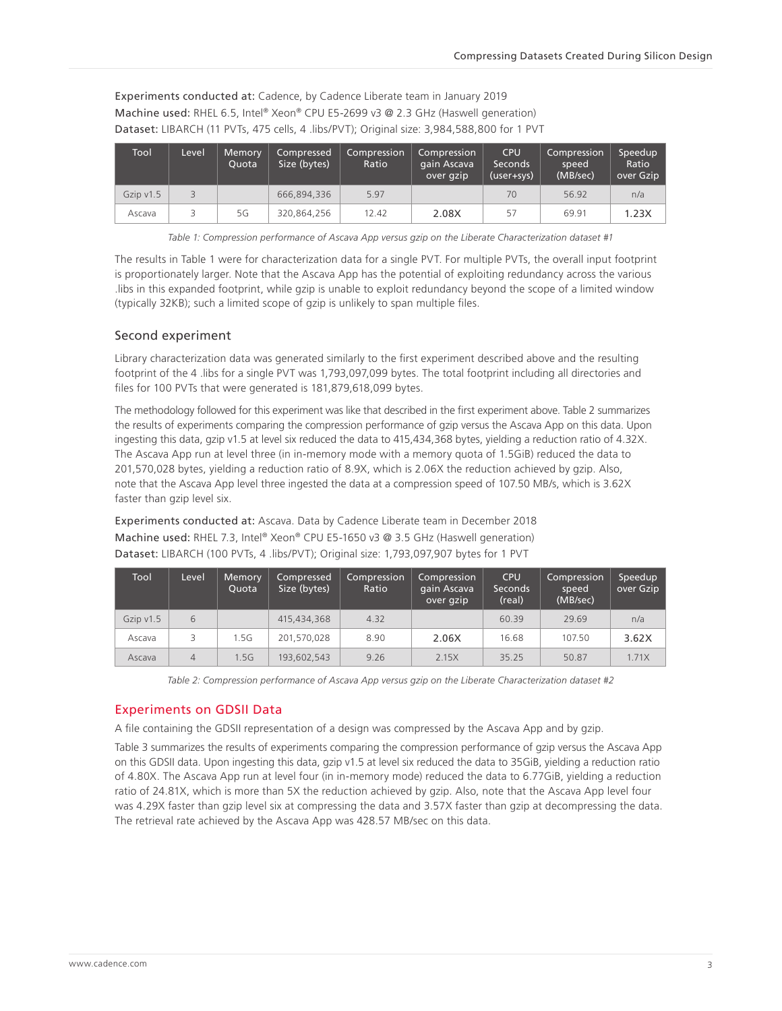<span id="page-2-0"></span>Experiments conducted at: Cadence, by Cadence Liberate team in January 2019 Machine used: RHEL 6.5, Intel® Xeon® CPU E5-2699 v3 @ 2.3 GHz (Haswell generation) Dataset: LIBARCH (11 PVTs, 475 cells, 4 .libs/PVT); Original size: 3,984,588,800 for 1 PVT

| <b>Tool</b> | Level | Memory<br>Ouota | Compressed<br>Size (bytes) | Compression<br>Ratio | Compression<br>gain Ascava<br>over gzip | <b>CPU</b><br>Seconds<br>$(user+sys)$ | Compression<br>speed<br>(MB/sec) | Speedup<br>Ratio<br>over Gzip |
|-------------|-------|-----------------|----------------------------|----------------------|-----------------------------------------|---------------------------------------|----------------------------------|-------------------------------|
| Gzip $v1.5$ |       |                 | 666,894,336                | 5.97                 |                                         | 70                                    | 56.92                            | n/a                           |
| Ascava      |       | 5G              | 320,864,256                | 12.42                | 2.08X                                   | 57                                    | 69.91                            | 1.23X                         |

*Table 1: Compression performance of Ascava App versus gzip on the Liberate Characterization dataset #1*

The results in Table 1 were for characterization data for a single PVT. For multiple PVTs, the overall input footprint is proportionately larger. Note that the Ascava App has the potential of exploiting redundancy across the various .libs in this expanded footprint, while gzip is unable to exploit redundancy beyond the scope of a limited window (typically 32KB); such a limited scope of gzip is unlikely to span multiple files.

#### Second experiment

Library characterization data was generated similarly to the first experiment described above and the resulting footprint of the 4 .libs for a single PVT was 1,793,097,099 bytes. The total footprint including all directories and files for 100 PVTs that were generated is 181,879,618,099 bytes.

The methodology followed for this experiment was like that described in the first experiment above. Table 2 summarizes the results of experiments comparing the compression performance of gzip versus the Ascava App on this data. Upon ingesting this data, gzip v1.5 at level six reduced the data to 415,434,368 bytes, yielding a reduction ratio of 4.32X. The Ascava App run at level three (in in-memory mode with a memory quota of 1.5GiB) reduced the data to 201,570,028 bytes, yielding a reduction ratio of 8.9X, which is 2.06X the reduction achieved by gzip. Also, note that the Ascava App level three ingested the data at a compression speed of 107.50 MB/s, which is 3.62X faster than gzip level six.

Experiments conducted at: Ascava. Data by Cadence Liberate team in December 2018 Machine used: RHEL 7.3, Intel® Xeon® CPU E5-1650 v3 @ 3.5 GHz (Haswell generation) Dataset: LIBARCH (100 PVTs, 4 .libs/PVT); Original size: 1,793,097,907 bytes for 1 PVT

| Tool        | Level | Memory<br>Ouota | <b>Compressed</b><br>Size (bytes) | Compression<br>Ratio | <b>Compression</b><br>gain Ascava<br>over gzip | <b>CPU</b><br><b>Seconds</b><br>(real) | Compression<br>speed<br>(MB/sec) | Speedup<br>over Gzip |
|-------------|-------|-----------------|-----------------------------------|----------------------|------------------------------------------------|----------------------------------------|----------------------------------|----------------------|
| Gzip $v1.5$ | 6     |                 | 415,434,368                       | 4.32                 |                                                | 60.39                                  | 29.69                            | n/a                  |
| Ascava      | 3     | .5G             | 201.570.028                       | 8.90                 | 2.06X                                          | 16.68                                  | 107.50                           | 3.62X                |
| Ascava      | 4     | .5G             | 193,602,543                       | 9.26                 | 2.15X                                          | 35.25                                  | 50.87                            | 1.71X                |

*Table 2: Compression performance of Ascava App versus gzip on the Liberate Characterization dataset #2*

#### Experiments on GDSII Data

A file containing the GDSII representation of a design was compressed by the Ascava App and by gzip.

Table 3 summarizes the results of experiments comparing the compression performance of gzip versus the Ascava App on this GDSII data. Upon ingesting this data, gzip v1.5 at level six reduced the data to 35GiB, yielding a reduction ratio of 4.80X. The Ascava App run at level four (in in-memory mode) reduced the data to 6.77GiB, yielding a reduction ratio of 24.81X, which is more than 5X the reduction achieved by gzip. Also, note that the Ascava App level four was 4.29X faster than gzip level six at compressing the data and 3.57X faster than gzip at decompressing the data. The retrieval rate achieved by the Ascava App was 428.57 MB/sec on this data.